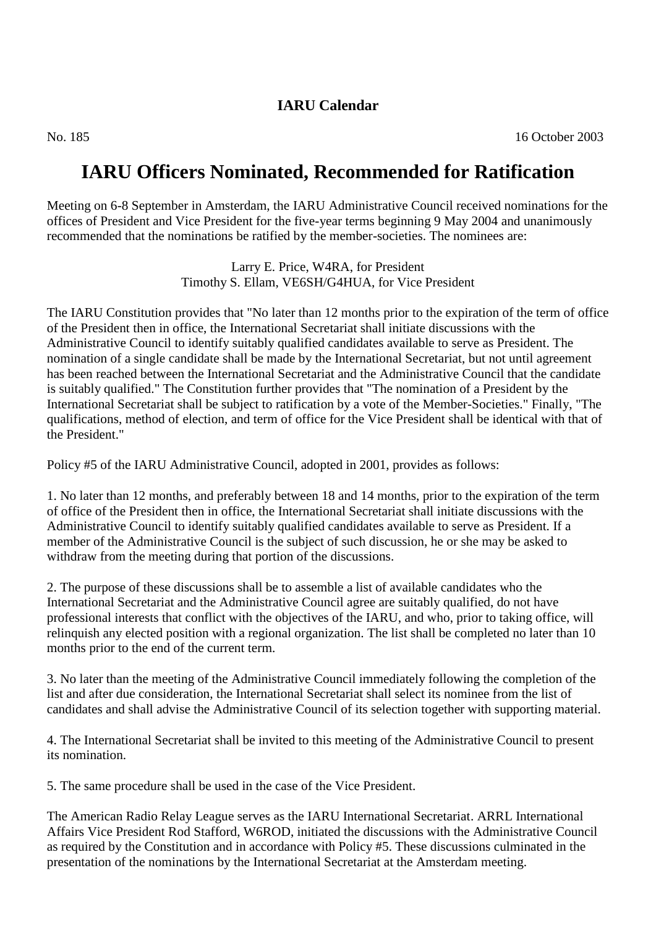# **IARU Calendar**

# **IARU Officers Nominated, Recommended for Ratification**

Meeting on 6-8 September in Amsterdam, the IARU Administrative Council received nominations for the offices of President and Vice President for the five-year terms beginning 9 May 2004 and unanimously recommended that the nominations be ratified by the member-societies. The nominees are:

> Larry E. Price, W4RA, for President Timothy S. Ellam, VE6SH/G4HUA, for Vice President

The IARU Constitution provides that "No later than 12 months prior to the expiration of the term of office of the President then in office, the International Secretariat shall initiate discussions with the Administrative Council to identify suitably qualified candidates available to serve as President. The nomination of a single candidate shall be made by the International Secretariat, but not until agreement has been reached between the International Secretariat and the Administrative Council that the candidate is suitably qualified." The Constitution further provides that "The nomination of a President by the International Secretariat shall be subject to ratification by a vote of the Member-Societies." Finally, "The qualifications, method of election, and term of office for the Vice President shall be identical with that of the President."

Policy #5 of the IARU Administrative Council, adopted in 2001, provides as follows:

1. No later than 12 months, and preferably between 18 and 14 months, prior to the expiration of the term of office of the President then in office, the International Secretariat shall initiate discussions with the Administrative Council to identify suitably qualified candidates available to serve as President. If a member of the Administrative Council is the subject of such discussion, he or she may be asked to withdraw from the meeting during that portion of the discussions.

2. The purpose of these discussions shall be to assemble a list of available candidates who the International Secretariat and the Administrative Council agree are suitably qualified, do not have professional interests that conflict with the objectives of the IARU, and who, prior to taking office, will relinquish any elected position with a regional organization. The list shall be completed no later than 10 months prior to the end of the current term.

3. No later than the meeting of the Administrative Council immediately following the completion of the list and after due consideration, the International Secretariat shall select its nominee from the list of candidates and shall advise the Administrative Council of its selection together with supporting material.

4. The International Secretariat shall be invited to this meeting of the Administrative Council to present its nomination.

5. The same procedure shall be used in the case of the Vice President.

The American Radio Relay League serves as the IARU International Secretariat. ARRL International Affairs Vice President Rod Stafford, W6ROD, initiated the discussions with the Administrative Council as required by the Constitution and in accordance with Policy #5. These discussions culminated in the presentation of the nominations by the International Secretariat at the Amsterdam meeting.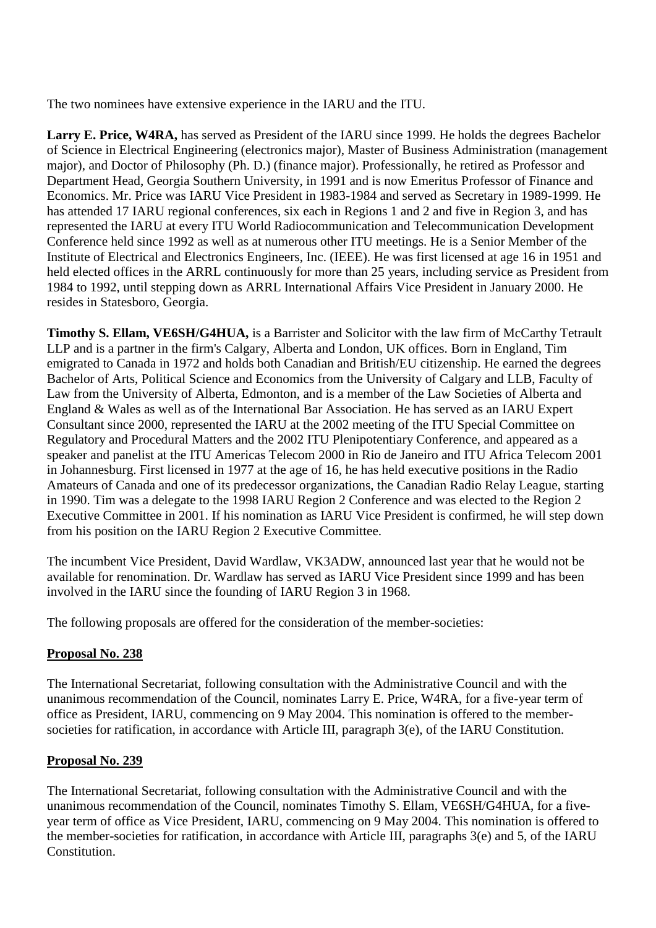The two nominees have extensive experience in the IARU and the ITU.

**Larry E. Price, W4RA,** has served as President of the IARU since 1999. He holds the degrees Bachelor of Science in Electrical Engineering (electronics major), Master of Business Administration (management major), and Doctor of Philosophy (Ph. D.) (finance major). Professionally, he retired as Professor and Department Head, Georgia Southern University, in 1991 and is now Emeritus Professor of Finance and Economics. Mr. Price was IARU Vice President in 1983-1984 and served as Secretary in 1989-1999. He has attended 17 IARU regional conferences, six each in Regions 1 and 2 and five in Region 3, and has represented the IARU at every ITU World Radiocommunication and Telecommunication Development Conference held since 1992 as well as at numerous other ITU meetings. He is a Senior Member of the Institute of Electrical and Electronics Engineers, Inc. (IEEE). He was first licensed at age 16 in 1951 and held elected offices in the ARRL continuously for more than 25 years, including service as President from 1984 to 1992, until stepping down as ARRL International Affairs Vice President in January 2000. He resides in Statesboro, Georgia.

**Timothy S. Ellam, VE6SH/G4HUA,** is a Barrister and Solicitor with the law firm of McCarthy Tetrault LLP and is a partner in the firm's Calgary, Alberta and London, UK offices. Born in England, Tim emigrated to Canada in 1972 and holds both Canadian and British/EU citizenship. He earned the degrees Bachelor of Arts, Political Science and Economics from the University of Calgary and LLB, Faculty of Law from the University of Alberta, Edmonton, and is a member of the Law Societies of Alberta and England & Wales as well as of the International Bar Association. He has served as an IARU Expert Consultant since 2000, represented the IARU at the 2002 meeting of the ITU Special Committee on Regulatory and Procedural Matters and the 2002 ITU Plenipotentiary Conference, and appeared as a speaker and panelist at the ITU Americas Telecom 2000 in Rio de Janeiro and ITU Africa Telecom 2001 in Johannesburg. First licensed in 1977 at the age of 16, he has held executive positions in the Radio Amateurs of Canada and one of its predecessor organizations, the Canadian Radio Relay League, starting in 1990. Tim was a delegate to the 1998 IARU Region 2 Conference and was elected to the Region 2 Executive Committee in 2001. If his nomination as IARU Vice President is confirmed, he will step down from his position on the IARU Region 2 Executive Committee.

The incumbent Vice President, David Wardlaw, VK3ADW, announced last year that he would not be available for renomination. Dr. Wardlaw has served as IARU Vice President since 1999 and has been involved in the IARU since the founding of IARU Region 3 in 1968.

The following proposals are offered for the consideration of the member-societies:

#### **Proposal No. 238**

The International Secretariat, following consultation with the Administrative Council and with the unanimous recommendation of the Council, nominates Larry E. Price, W4RA, for a five-year term of office as President, IARU, commencing on 9 May 2004. This nomination is offered to the membersocieties for ratification, in accordance with Article III, paragraph 3(e), of the IARU Constitution.

#### **Proposal No. 239**

The International Secretariat, following consultation with the Administrative Council and with the unanimous recommendation of the Council, nominates Timothy S. Ellam, VE6SH/G4HUA, for a fiveyear term of office as Vice President, IARU, commencing on 9 May 2004. This nomination is offered to the member-societies for ratification, in accordance with Article III, paragraphs 3(e) and 5, of the IARU Constitution.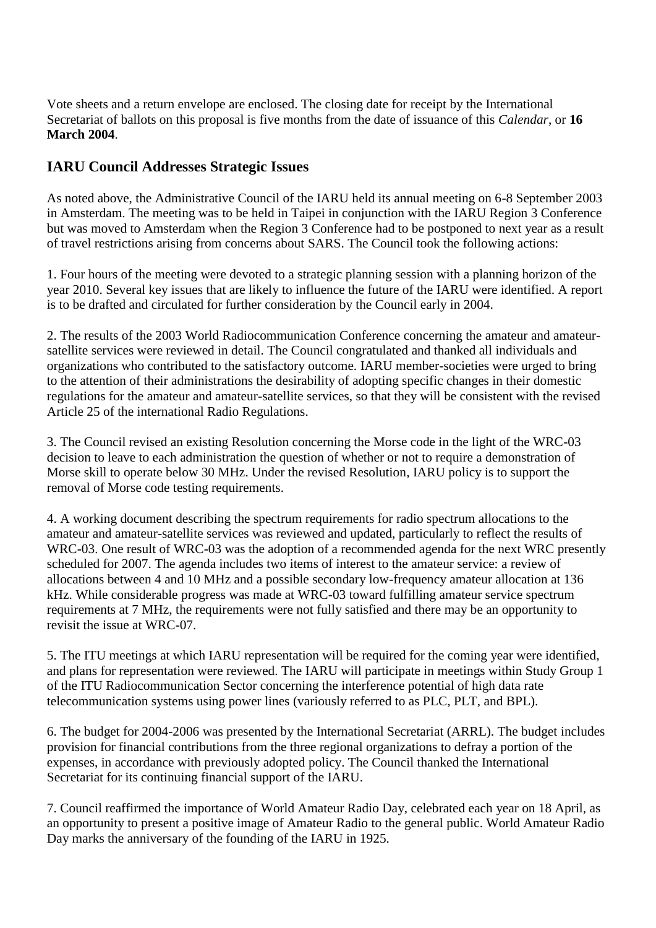Vote sheets and a return envelope are enclosed. The closing date for receipt by the International Secretariat of ballots on this proposal is five months from the date of issuance of this *Calendar*, or **16 March 2004**.

## **IARU Council Addresses Strategic Issues**

As noted above, the Administrative Council of the IARU held its annual meeting on 6-8 September 2003 in Amsterdam. The meeting was to be held in Taipei in conjunction with the IARU Region 3 Conference but was moved to Amsterdam when the Region 3 Conference had to be postponed to next year as a result of travel restrictions arising from concerns about SARS. The Council took the following actions:

1. Four hours of the meeting were devoted to a strategic planning session with a planning horizon of the year 2010. Several key issues that are likely to influence the future of the IARU were identified. A report is to be drafted and circulated for further consideration by the Council early in 2004.

2. The results of the 2003 World Radiocommunication Conference concerning the amateur and amateursatellite services were reviewed in detail. The Council congratulated and thanked all individuals and organizations who contributed to the satisfactory outcome. IARU member-societies were urged to bring to the attention of their administrations the desirability of adopting specific changes in their domestic regulations for the amateur and amateur-satellite services, so that they will be consistent with the revised Article 25 of the international Radio Regulations.

3. The Council revised an existing Resolution concerning the Morse code in the light of the WRC-03 decision to leave to each administration the question of whether or not to require a demonstration of Morse skill to operate below 30 MHz. Under the revised Resolution, IARU policy is to support the removal of Morse code testing requirements.

4. A working document describing the spectrum requirements for radio spectrum allocations to the amateur and amateur-satellite services was reviewed and updated, particularly to reflect the results of WRC-03. One result of WRC-03 was the adoption of a recommended agenda for the next WRC presently scheduled for 2007. The agenda includes two items of interest to the amateur service: a review of allocations between 4 and 10 MHz and a possible secondary low-frequency amateur allocation at 136 kHz. While considerable progress was made at WRC-03 toward fulfilling amateur service spectrum requirements at 7 MHz, the requirements were not fully satisfied and there may be an opportunity to revisit the issue at WRC-07.

5. The ITU meetings at which IARU representation will be required for the coming year were identified, and plans for representation were reviewed. The IARU will participate in meetings within Study Group 1 of the ITU Radiocommunication Sector concerning the interference potential of high data rate telecommunication systems using power lines (variously referred to as PLC, PLT, and BPL).

6. The budget for 2004-2006 was presented by the International Secretariat (ARRL). The budget includes provision for financial contributions from the three regional organizations to defray a portion of the expenses, in accordance with previously adopted policy. The Council thanked the International Secretariat for its continuing financial support of the IARU.

7. Council reaffirmed the importance of World Amateur Radio Day, celebrated each year on 18 April, as an opportunity to present a positive image of Amateur Radio to the general public. World Amateur Radio Day marks the anniversary of the founding of the IARU in 1925.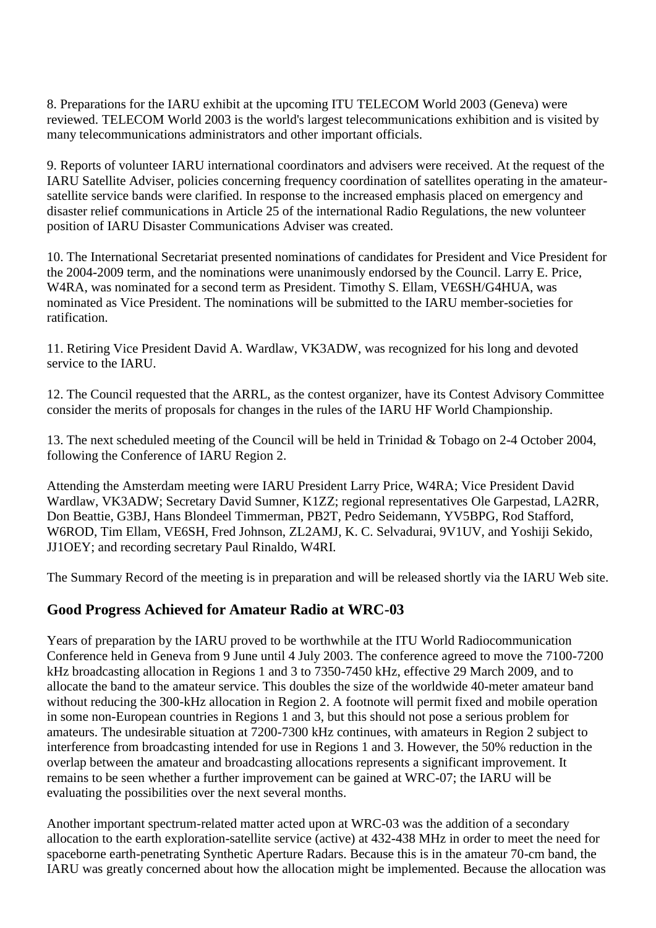8. Preparations for the IARU exhibit at the upcoming ITU TELECOM World 2003 (Geneva) were reviewed. TELECOM World 2003 is the world's largest telecommunications exhibition and is visited by many telecommunications administrators and other important officials.

9. Reports of volunteer IARU international coordinators and advisers were received. At the request of the IARU Satellite Adviser, policies concerning frequency coordination of satellites operating in the amateursatellite service bands were clarified. In response to the increased emphasis placed on emergency and disaster relief communications in Article 25 of the international Radio Regulations, the new volunteer position of IARU Disaster Communications Adviser was created.

10. The International Secretariat presented nominations of candidates for President and Vice President for the 2004-2009 term, and the nominations were unanimously endorsed by the Council. Larry E. Price, W4RA, was nominated for a second term as President. Timothy S. Ellam, VE6SH/G4HUA, was nominated as Vice President. The nominations will be submitted to the IARU member-societies for ratification.

11. Retiring Vice President David A. Wardlaw, VK3ADW, was recognized for his long and devoted service to the IARU.

12. The Council requested that the ARRL, as the contest organizer, have its Contest Advisory Committee consider the merits of proposals for changes in the rules of the IARU HF World Championship.

13. The next scheduled meeting of the Council will be held in Trinidad & Tobago on 2-4 October 2004, following the Conference of IARU Region 2.

Attending the Amsterdam meeting were IARU President Larry Price, W4RA; Vice President David Wardlaw, VK3ADW; Secretary David Sumner, K1ZZ; regional representatives Ole Garpestad, LA2RR, Don Beattie, G3BJ, Hans Blondeel Timmerman, PB2T, Pedro Seidemann, YV5BPG, Rod Stafford, W6ROD, Tim Ellam, VE6SH, Fred Johnson, ZL2AMJ, K. C. Selvadurai, 9V1UV, and Yoshiji Sekido, JJ1OEY; and recording secretary Paul Rinaldo, W4RI.

The Summary Record of the meeting is in preparation and will be released shortly via the IARU Web site.

## **Good Progress Achieved for Amateur Radio at WRC-03**

Years of preparation by the IARU proved to be worthwhile at the ITU World Radiocommunication Conference held in Geneva from 9 June until 4 July 2003. The conference agreed to move the 7100-7200 kHz broadcasting allocation in Regions 1 and 3 to 7350-7450 kHz, effective 29 March 2009, and to allocate the band to the amateur service. This doubles the size of the worldwide 40-meter amateur band without reducing the 300-kHz allocation in Region 2. A footnote will permit fixed and mobile operation in some non-European countries in Regions 1 and 3, but this should not pose a serious problem for amateurs. The undesirable situation at 7200-7300 kHz continues, with amateurs in Region 2 subject to interference from broadcasting intended for use in Regions 1 and 3. However, the 50% reduction in the overlap between the amateur and broadcasting allocations represents a significant improvement. It remains to be seen whether a further improvement can be gained at WRC-07; the IARU will be evaluating the possibilities over the next several months.

Another important spectrum-related matter acted upon at WRC-03 was the addition of a secondary allocation to the earth exploration-satellite service (active) at 432-438 MHz in order to meet the need for spaceborne earth-penetrating Synthetic Aperture Radars. Because this is in the amateur 70-cm band, the IARU was greatly concerned about how the allocation might be implemented. Because the allocation was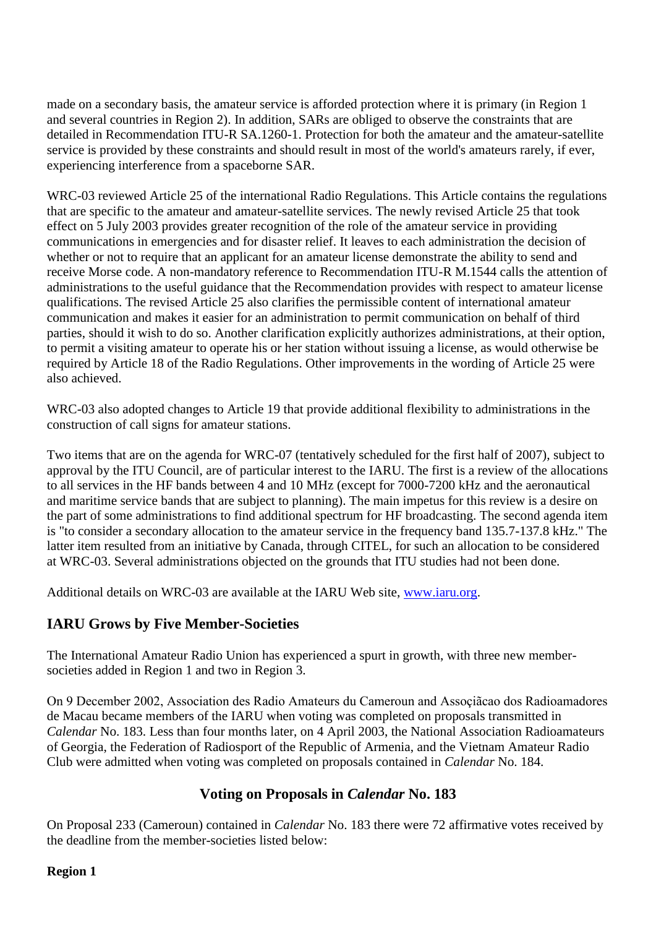made on a secondary basis, the amateur service is afforded protection where it is primary (in Region 1 and several countries in Region 2). In addition, SARs are obliged to observe the constraints that are detailed in Recommendation ITU-R SA.1260-1. Protection for both the amateur and the amateur-satellite service is provided by these constraints and should result in most of the world's amateurs rarely, if ever, experiencing interference from a spaceborne SAR.

WRC-03 reviewed Article 25 of the international Radio Regulations. This Article contains the regulations that are specific to the amateur and amateur-satellite services. The newly revised Article 25 that took effect on 5 July 2003 provides greater recognition of the role of the amateur service in providing communications in emergencies and for disaster relief. It leaves to each administration the decision of whether or not to require that an applicant for an amateur license demonstrate the ability to send and receive Morse code. A non-mandatory reference to Recommendation ITU-R M.1544 calls the attention of administrations to the useful guidance that the Recommendation provides with respect to amateur license qualifications. The revised Article 25 also clarifies the permissible content of international amateur communication and makes it easier for an administration to permit communication on behalf of third parties, should it wish to do so. Another clarification explicitly authorizes administrations, at their option, to permit a visiting amateur to operate his or her station without issuing a license, as would otherwise be required by Article 18 of the Radio Regulations. Other improvements in the wording of Article 25 were also achieved.

WRC-03 also adopted changes to Article 19 that provide additional flexibility to administrations in the construction of call signs for amateur stations.

Two items that are on the agenda for WRC-07 (tentatively scheduled for the first half of 2007), subject to approval by the ITU Council, are of particular interest to the IARU. The first is a review of the allocations to all services in the HF bands between 4 and 10 MHz (except for 7000-7200 kHz and the aeronautical and maritime service bands that are subject to planning). The main impetus for this review is a desire on the part of some administrations to find additional spectrum for HF broadcasting. The second agenda item is "to consider a secondary allocation to the amateur service in the frequency band 135.7-137.8 kHz." The latter item resulted from an initiative by Canada, through CITEL, for such an allocation to be considered at WRC-03. Several administrations objected on the grounds that ITU studies had not been done.

Additional details on WRC-03 are available at the IARU Web site, [www.iaru.org.](http://www.iaru.org/)

# **IARU Grows by Five Member-Societies**

The International Amateur Radio Union has experienced a spurt in growth, with three new membersocieties added in Region 1 and two in Region 3.

On 9 December 2002, Association des Radio Amateurs du Cameroun and Assoçiãcao dos Radioamadores de Macau became members of the IARU when voting was completed on proposals transmitted in *Calendar* No. 183. Less than four months later, on 4 April 2003, the National Association Radioamateurs of Georgia, the Federation of Radiosport of the Republic of Armenia, and the Vietnam Amateur Radio Club were admitted when voting was completed on proposals contained in *Calendar* No. 184.

# **Voting on Proposals in** *Calendar* **No. 183**

On Proposal 233 (Cameroun) contained in *Calendar* No. 183 there were 72 affirmative votes received by the deadline from the member-societies listed below:

#### **Region 1**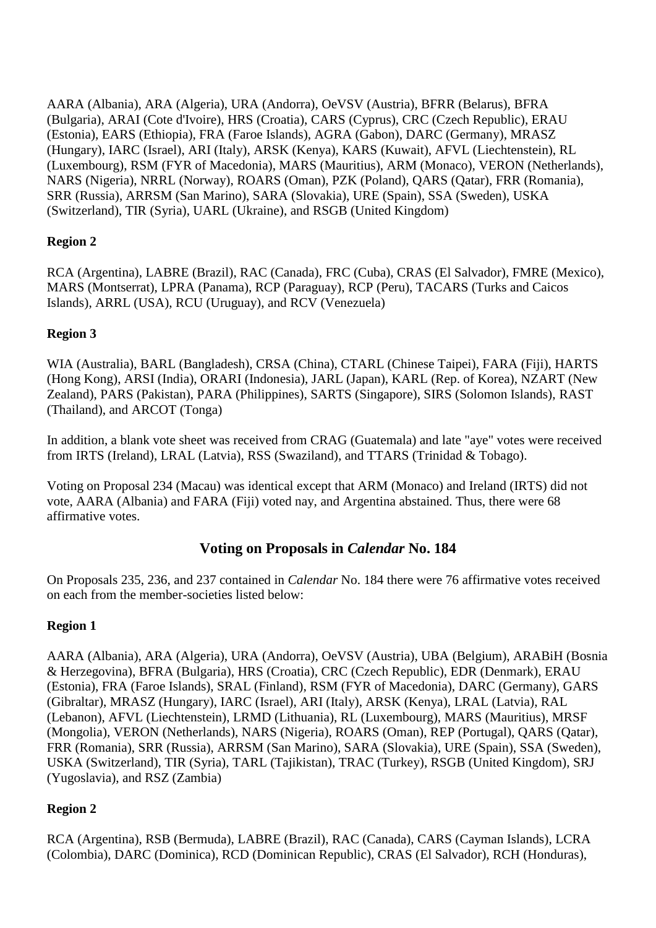AARA (Albania), ARA (Algeria), URA (Andorra), OeVSV (Austria), BFRR (Belarus), BFRA (Bulgaria), ARAI (Cote d'Ivoire), HRS (Croatia), CARS (Cyprus), CRC (Czech Republic), ERAU (Estonia), EARS (Ethiopia), FRA (Faroe Islands), AGRA (Gabon), DARC (Germany), MRASZ (Hungary), IARC (Israel), ARI (Italy), ARSK (Kenya), KARS (Kuwait), AFVL (Liechtenstein), RL (Luxembourg), RSM (FYR of Macedonia), MARS (Mauritius), ARM (Monaco), VERON (Netherlands), NARS (Nigeria), NRRL (Norway), ROARS (Oman), PZK (Poland), QARS (Qatar), FRR (Romania), SRR (Russia), ARRSM (San Marino), SARA (Slovakia), URE (Spain), SSA (Sweden), USKA (Switzerland), TIR (Syria), UARL (Ukraine), and RSGB (United Kingdom)

## **Region 2**

RCA (Argentina), LABRE (Brazil), RAC (Canada), FRC (Cuba), CRAS (El Salvador), FMRE (Mexico), MARS (Montserrat), LPRA (Panama), RCP (Paraguay), RCP (Peru), TACARS (Turks and Caicos Islands), ARRL (USA), RCU (Uruguay), and RCV (Venezuela)

## **Region 3**

WIA (Australia), BARL (Bangladesh), CRSA (China), CTARL (Chinese Taipei), FARA (Fiji), HARTS (Hong Kong), ARSI (India), ORARI (Indonesia), JARL (Japan), KARL (Rep. of Korea), NZART (New Zealand), PARS (Pakistan), PARA (Philippines), SARTS (Singapore), SIRS (Solomon Islands), RAST (Thailand), and ARCOT (Tonga)

In addition, a blank vote sheet was received from CRAG (Guatemala) and late "aye" votes were received from IRTS (Ireland), LRAL (Latvia), RSS (Swaziland), and TTARS (Trinidad & Tobago).

Voting on Proposal 234 (Macau) was identical except that ARM (Monaco) and Ireland (IRTS) did not vote, AARA (Albania) and FARA (Fiji) voted nay, and Argentina abstained. Thus, there were 68 affirmative votes.

## **Voting on Proposals in** *Calendar* **No. 184**

On Proposals 235, 236, and 237 contained in *Calendar* No. 184 there were 76 affirmative votes received on each from the member-societies listed below:

## **Region 1**

AARA (Albania), ARA (Algeria), URA (Andorra), OeVSV (Austria), UBA (Belgium), ARABiH (Bosnia & Herzegovina), BFRA (Bulgaria), HRS (Croatia), CRC (Czech Republic), EDR (Denmark), ERAU (Estonia), FRA (Faroe Islands), SRAL (Finland), RSM (FYR of Macedonia), DARC (Germany), GARS (Gibraltar), MRASZ (Hungary), IARC (Israel), ARI (Italy), ARSK (Kenya), LRAL (Latvia), RAL (Lebanon), AFVL (Liechtenstein), LRMD (Lithuania), RL (Luxembourg), MARS (Mauritius), MRSF (Mongolia), VERON (Netherlands), NARS (Nigeria), ROARS (Oman), REP (Portugal), QARS (Qatar), FRR (Romania), SRR (Russia), ARRSM (San Marino), SARA (Slovakia), URE (Spain), SSA (Sweden), USKA (Switzerland), TIR (Syria), TARL (Tajikistan), TRAC (Turkey), RSGB (United Kingdom), SRJ (Yugoslavia), and RSZ (Zambia)

## **Region 2**

RCA (Argentina), RSB (Bermuda), LABRE (Brazil), RAC (Canada), CARS (Cayman Islands), LCRA (Colombia), DARC (Dominica), RCD (Dominican Republic), CRAS (El Salvador), RCH (Honduras),